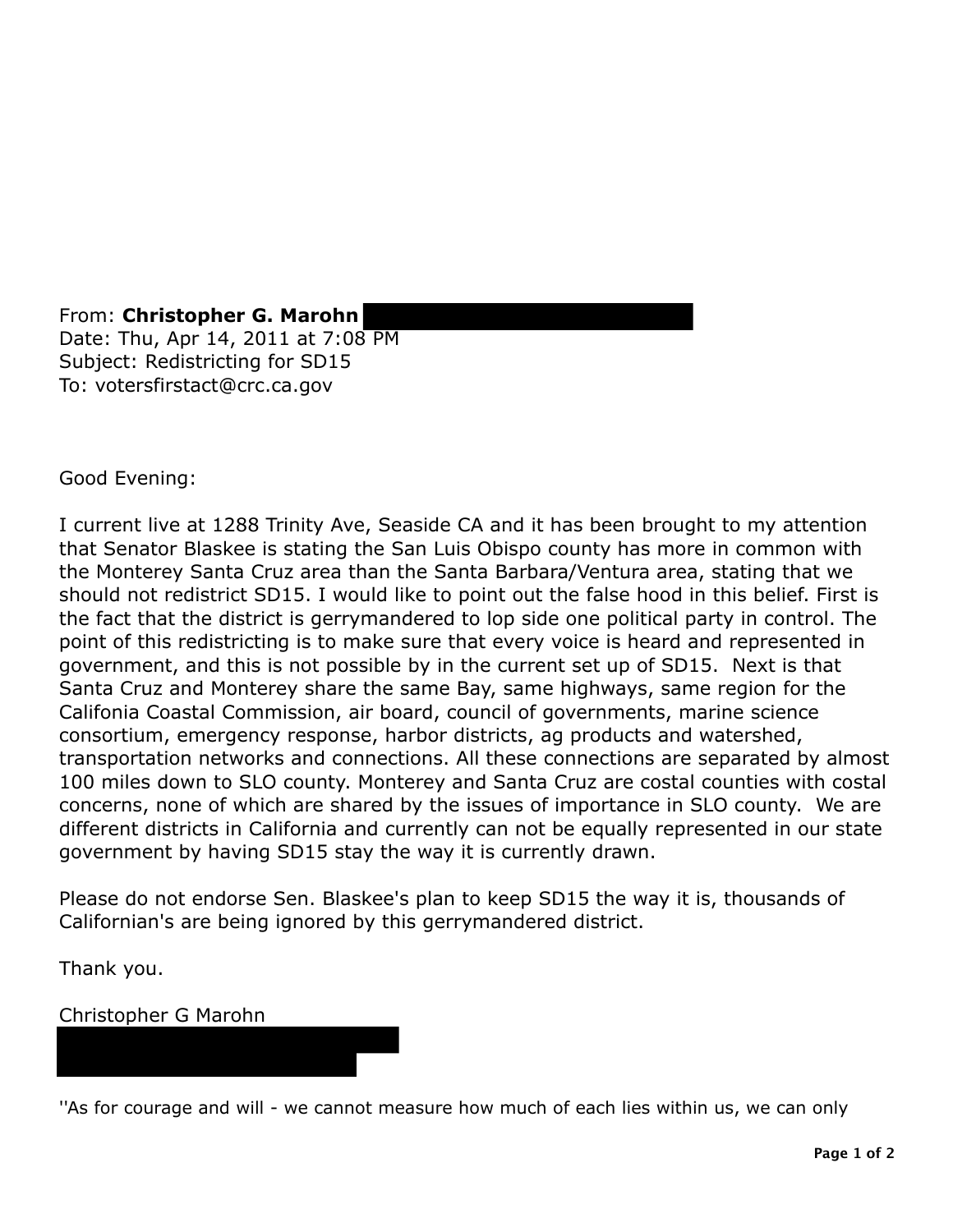From: **Christopher G. Marohn** Date: Thu, Apr 14, 2011 at 7:08 PM Subject: Redistricting for SD15 To: votersfirstact@crc.ca.gov

Good Evening:

I current live at 1288 Trinity Ave, Seaside CA and it has been brought to my attention that Senator Blaskee is stating the San Luis Obispo county has more in common with the Monterey Santa Cruz area than the Santa Barbara/Ventura area, stating that we should not redistrict SD15. I would like to point out the false hood in this belief. First is the fact that the district is gerrymandered to lop side one political party in control. The point of this redistricting is to make sure that every voice is heard and represented in government, and this is not possible by in the current set up of SD15. Next is that Santa Cruz and Monterey share the same Bay, same highways, same region for the Califonia Coastal Commission, air board, council of governments, marine science consortium, emergency response, harbor districts, ag products and watershed, transportation networks and connections. All these connections are separated by almost 100 miles down to SLO county. Monterey and Santa Cruz are costal counties with costal concerns, none of which are shared by the issues of importance in SLO county. We are different districts in California and currently can not be equally represented in our state government by having SD15 stay the way it is currently drawn.

Please do not endorse Sen. Blaskee's plan to keep SD15 the way it is, thousands of Californian's are being ignored by this gerrymandered district.

Thank you.

Christopher G Marohn

"As for courage and will - we cannot measure how much of each lies within us, we can only